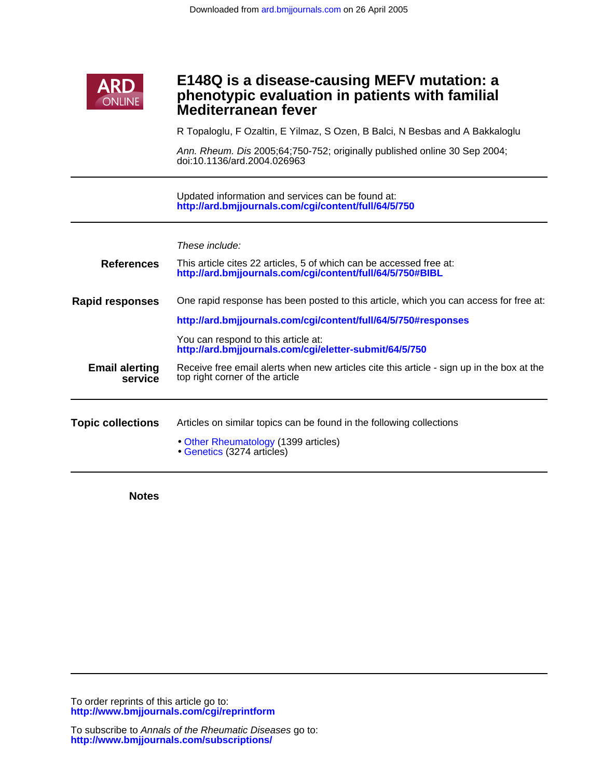

## **Mediterranean fever phenotypic evaluation in patients with familial E148Q is a disease-causing MEFV mutation: a**

R Topaloglu, F Ozaltin, E Yilmaz, S Ozen, B Balci, N Besbas and A Bakkaloglu

doi:10.1136/ard.2004.026963 Ann. Rheum. Dis 2005;64;750-752; originally published online 30 Sep 2004;

**<http://ard.bmjjournals.com/cgi/content/full/64/5/750>** Updated information and services can be found at:

These include:

| <b>References</b>                | This article cites 22 articles, 5 of which can be accessed free at:<br>http://ard.bmjjournals.com/cgi/content/full/64/5/750#BIBL |
|----------------------------------|----------------------------------------------------------------------------------------------------------------------------------|
| <b>Rapid responses</b>           | One rapid response has been posted to this article, which you can access for free at:                                            |
|                                  | http://ard.bmjjournals.com/cgi/content/full/64/5/750#responses                                                                   |
|                                  | You can respond to this article at:<br>http://ard.bmjjournals.com/cgi/eletter-submit/64/5/750                                    |
| <b>Email alerting</b><br>service | Receive free email alerts when new articles cite this article - sign up in the box at the<br>top right corner of the article     |
|                                  |                                                                                                                                  |
| <b>Topic collections</b>         | Articles on similar topics can be found in the following collections                                                             |
|                                  | Other Rheumatology (1399 articles)<br>Genetics (3274 articles)                                                                   |

**Notes**

**<http://www.bmjjournals.com/cgi/reprintform>** To order reprints of this article go to: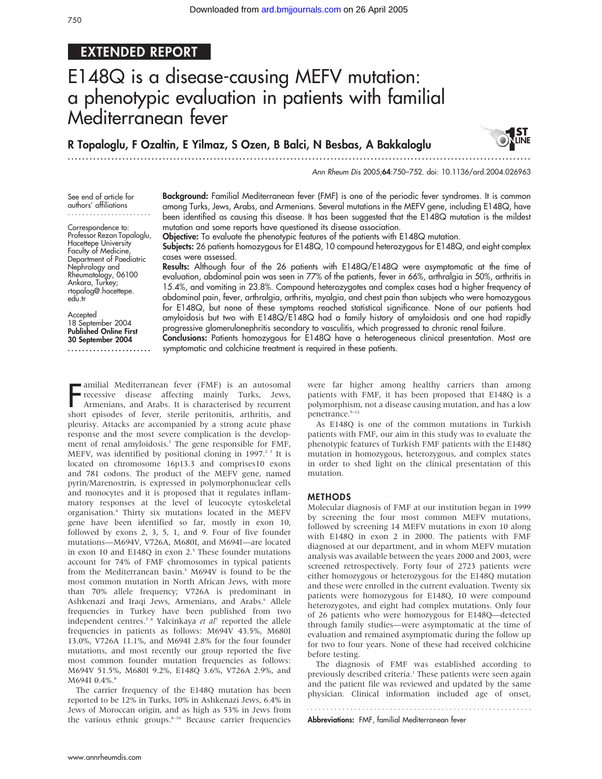### EXTENDED REPORT

# E148Q is a disease-causing MEFV mutation: a phenotypic evaluation in patients with familial Mediterranean fever

#### R Topaloglu, F Ozaltin, E Yilmaz, S Ozen, B Balci, N Besbas, A Bakkaloglu ...............................................................................................................................



Ann Rheum Dis 2005;64:750–752. doi: 10.1136/ard.2004.026963

See end of article for authors' affiliations .......................

Correspondence to: Professor Rezan Topaloglu, Hacettepe University Faculty of Medicine, Department of Paediatric Nephrology and Rheumatology, 06100 Ankara, Turkey; rtopalog@.hacettepe. edu.tr

Accepted 18 September 2004 Published Online First 30 September 2004 ....................... Background: Familial Mediterranean fever (FMF) is one of the periodic fever syndromes. It is common among Turks, Jews, Arabs, and Armenians. Several mutations in the MEFV gene, including E148Q, have been identified as causing this disease. It has been suggested that the E148Q mutation is the mildest mutation and some reports have questioned its disease association.

Objective: To evaluate the phenotypic features of the patients with E148Q mutation. Subjects: 26 patients homozygous for E148Q, 10 compound heterozygous for E148Q, and eight complex cases were assessed.

Results: Although four of the 26 patients with E148Q/E148Q were asymptomatic at the time of evaluation, abdominal pain was seen in 77% of the patients, fever in 66%, arthralgia in 50%, arthritis in 15.4%, and vomiting in 23.8%. Compound heterozygotes and complex cases had a higher frequency of abdominal pain, fever, arthralgia, arthritis, myalgia, and chest pain than subjects who were homozygous for E148Q, but none of these symptoms reached statistical significance. None of our patients had amyloidosis but two with E148Q/E148Q had a family history of amyloidosis and one had rapidly progressive glomerulonephritis secondary to vasculitis, which progressed to chronic renal failure.

Conclusions: Patients homozygous for E148Q have a heterogeneous clinical presentation. Most are symptomatic and colchicine treatment is required in these patients.

Familial Mediterranean fever (FMF) is an autosomal<br>recessive disease affecting mainly Turks, Jews,<br>Armenians, and Arabs. It is characterised by recurrent<br>chart existence of four starle peritonitie arthritic and recessive disease affecting mainly Turks, Jews, Armenians, and Arabs. It is characterised by recurrent short episodes of fever, sterile peritonitis, arthritis, and pleurisy. Attacks are accompanied by a strong acute phase response and the most severe complication is the development of renal amyloidosis.<sup>1</sup> The gene responsible for FMF, MEFV, was identified by positional cloning in 1997.<sup>23</sup> It is located on chromosome 16p13.3 and comprises10 exons and 781 codons. The product of the MEFV gene, named pyrin/Marenostrin, is expressed in polymorphonuclear cells and monocytes and it is proposed that it regulates inflammatory responses at the level of leucocyte cytoskeletal organisation.4 Thirty six mutations located in the MEFV gene have been identified so far, mostly in exon 10, followed by exons 2, 3, 5, 1, and 9. Four of five founder mutations—M694V, V726A, M680I, and M694I—are located in exon 10 and E148Q in exon 2.<sup>5</sup> These founder mutations account for 74% of FMF chromosomes in typical patients from the Mediterranean basin.<sup>5</sup> M694V is found to be the most common mutation in North African Jews, with more than 70% allele frequency; V726A is predominant in Ashkenazi and Iraqi Jews, Armenians, and Arabs.<sup>6</sup> Allele frequencies in Turkey have been published from two independent centres.<sup>7 8</sup> Yalcinkaya et  $al^7$  reported the allele frequencies in patients as follows: M694V 43.5%, M680I 13.0%, V726A 11.1%, and M694I 2.8% for the four founder mutations, and most recently our group reported the five most common founder mutation frequencies as follows: M694V 51.5%, M680I 9.2%, E148Q 3.6%, V726A 2.9%, and M694I 0.4%.<sup>8</sup>

The carrier frequency of the E148Q mutation has been reported to be 12% in Turks, 10% in Ashkenazi Jews, 6.4% in Jews of Moroccan origin, and as high as 53% in Jews from the various ethnic groups.<sup>8-10</sup> Because carrier frequencies were far higher among healthy carriers than among patients with FMF, it has been proposed that E148Q is a polymorphism, not a disease causing mutation, and has a low penetrance.<sup>9-12</sup>

As E148Q is one of the common mutations in Turkish patients with FMF, our aim in this study was to evaluate the phenotypic features of Turkish FMF patients with the E148Q mutation in homozygous, heterozygous, and complex states in order to shed light on the clinical presentation of this mutation.

#### METHODS

Molecular diagnosis of FMF at our institution began in 1999 by screening the four most common MEFV mutations, followed by screening 14 MEFV mutations in exon 10 along with E148Q in exon 2 in 2000. The patients with FMF diagnosed at our department, and in whom MEFV mutation analysis was available between the years 2000 and 2003, were screened retrospectively. Forty four of 2723 patients were either homozygous or heterozygous for the E148Q mutation and these were enrolled in the current evaluation. Twenty six patients were homozygous for E148Q, 10 were compound heterozygotes, and eight had complex mutations. Only four of 26 patients who were homozygous for E148Q—detected through family studies—were asymptomatic at the time of evaluation and remained asymptomatic during the follow up for two to four years. None of these had received colchicine before testing.

The diagnosis of FMF was established according to previously described criteria.<sup>1</sup> These patients were seen again and the patient file was reviewed and updated by the same physician. Clinical information included age of onset,

Abbreviations: FMF, familial Mediterranean fever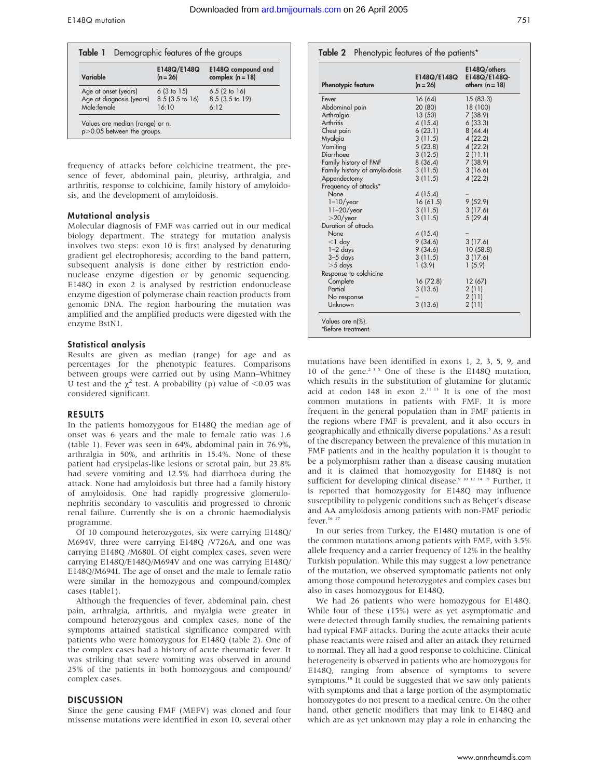| Variable                                | E148Q/E148Q<br>$(n = 26)$ | E148Q compound and<br>complex $(n = 18)$ |
|-----------------------------------------|---------------------------|------------------------------------------|
| Age at onset (years)                    | 6(3 to 15)                | 6.5(2 to 16)                             |
| Age at diagnosis (years)<br>Male:female | $8.5(3.5)$ to 16          | 8.5 (3.5 to 19)                          |
|                                         | 16:10                     | 6.12                                     |

frequency of attacks before colchicine treatment, the presence of fever, abdominal pain, pleurisy, arthralgia, and arthritis, response to colchicine, family history of amyloidosis, and the development of amyloidosis.

#### Mutational analysis

Molecular diagnosis of FMF was carried out in our medical biology department. The strategy for mutation analysis involves two steps: exon 10 is first analysed by denaturing gradient gel electrophoresis; according to the band pattern, subsequent analysis is done either by restriction endonuclease enzyme digestion or by genomic sequencing. E148Q in exon 2 is analysed by restriction endonuclease enzyme digestion of polymerase chain reaction products from genomic DNA. The region harbouring the mutation was amplified and the amplified products were digested with the enzyme BstN1.

#### Statistical analysis

Results are given as median (range) for age and as percentages for the phenotypic features. Comparisons between groups were carried out by using Mann–Whitney U test and the  $\chi^2$  test. A probability (p) value of <0.05 was considered significant.

#### RESULTS

In the patients homozygous for E148Q the median age of onset was 6 years and the male to female ratio was 1.6 (table 1). Fever was seen in 64%, abdominal pain in 76.9%, arthralgia in 50%, and arthritis in 15.4%. None of these patient had erysipelas-like lesions or scrotal pain, but 23.8% had severe vomiting and 12.5% had diarrhoea during the attack. None had amyloidosis but three had a family history of amyloidosis. One had rapidly progressive glomerulonephritis secondary to vasculitis and progressed to chronic renal failure. Currently she is on a chronic haemodialysis programme.

Of 10 compound heterozygotes, six were carrying E148Q/ M694V, three were carrying E148Q /V726A, and one was carrying E148Q /M680I. Of eight complex cases, seven were carrying E148Q/E148Q/M694V and one was carrying E148Q/ E148Q/M694I. The age of onset and the male to female ratio were similar in the homozygous and compound/complex cases (table1).

Although the frequencies of fever, abdominal pain, chest pain, arthralgia, arthritis, and myalgia were greater in compound heterozygous and complex cases, none of the symptoms attained statistical significance compared with patients who were homozygous for E148Q (table 2). One of the complex cases had a history of acute rheumatic fever. It was striking that severe vomiting was observed in around 25% of the patients in both homozygous and compound/ complex cases.

#### **DISCUSSION**

Since the gene causing FMF (MEFV) was cloned and four missense mutations were identified in exon 10, several other

| <b>Phenotypic feature</b>     | E148Q/E148Q<br>$(n = 26)$ | E148Q/others<br>E148Q/E148Q-<br>others $(n = 18)$ |
|-------------------------------|---------------------------|---------------------------------------------------|
| Fever                         | 16(64)                    | 15 (83.3)                                         |
| Abdominal pain                | 20 (80)                   | 18 (100)                                          |
| Arthralgia                    | 13(50)                    | 7(38.9)                                           |
| Arthritis                     | 4(15.4)                   | 6(33.3)                                           |
| Chest pain                    | 6(23.1)                   | 8(44.4)                                           |
| Myalgia                       | 3(11.5)                   | 4(22.2)                                           |
| Vomiting                      | 5(23.8)                   | 4(22.2)                                           |
| Diarrhoea                     | 3(12.5)                   | 2(11.1)                                           |
| Family history of FMF         | 8(36.4)                   | 7(38.9)                                           |
| Family history of amyloidosis | 3(11.5)                   | 3(16.6)                                           |
| Appendectomy                  | 3(11.5)                   | 4(22.2)                                           |
| Frequency of attacks*         |                           |                                                   |
| None                          | 4 (15.4)                  |                                                   |
| $1-10$ /year                  | 16(61.5)                  | 9(52.9)                                           |
| $11-20$ /year                 | 3(11.5)                   | 3(17.6)                                           |
| $>$ 20/year                   | 3(11.5)                   | 5(29.4)                                           |
| Duration of attacks           |                           |                                                   |
| None                          | 4(15.4)                   |                                                   |
| $<$ 1 day                     | 9(34.6)                   | 3(17.6)                                           |
| $1-2$ days                    | 9(34.6)                   | 10(58.8)                                          |
| $3 - 5$ days                  | 3(11.5)                   | 3(17.6)                                           |
| $>5$ days                     | 1(3.9)                    | 1(5.9)                                            |
| Response to colchicine        |                           |                                                   |
| Complete                      | 16(72.8)                  | 12(67)                                            |
| Partial                       | 3(13.6)                   | 2(11)                                             |
| No response                   |                           | 2(11)                                             |
|                               | 3(13.6)                   | 2(11)                                             |

mutations have been identified in exons 1, 2, 3, 5, 9, and 10 of the gene.235 One of these is the E148Q mutation, which results in the substitution of glutamine for glutamic acid at codon  $148$  in exon  $2.^{11}$  13 It is one of the most common mutations in patients with FMF. It is more frequent in the general population than in FMF patients in the regions where FMF is prevalent, and it also occurs in geographically and ethnically diverse populations.<sup>5</sup> As a result of the discrepancy between the prevalence of this mutation in FMF patients and in the healthy population it is thought to be a polymorphism rather than a disease causing mutation and it is claimed that homozygosity for E148Q is not sufficient for developing clinical disease.<sup>9 10 12 14 15</sup> Further, it is reported that homozygosity for E148Q may influence susceptibility to polygenic conditions such as Behçet's disease and AA amyloidosis among patients with non-FMF periodic fever.<sup>16 17</sup>

In our series from Turkey, the E148Q mutation is one of the common mutations among patients with FMF, with 3.5% allele frequency and a carrier frequency of 12% in the healthy Turkish population. While this may suggest a low penetrance of the mutation, we observed symptomatic patients not only among those compound heterozygotes and complex cases but also in cases homozygous for E148Q.

We had 26 patients who were homozygous for E148Q. While four of these (15%) were as yet asymptomatic and were detected through family studies, the remaining patients had typical FMF attacks. During the acute attacks their acute phase reactants were raised and after an attack they returned to normal. They all had a good response to colchicine. Clinical heterogeneity is observed in patients who are homozygous for E148Q, ranging from absence of symptoms to severe symptoms.<sup>18</sup> It could be suggested that we saw only patients with symptoms and that a large portion of the asymptomatic homozygotes do not present to a medical centre. On the other hand, other genetic modifiers that may link to E148Q and which are as yet unknown may play a role in enhancing the